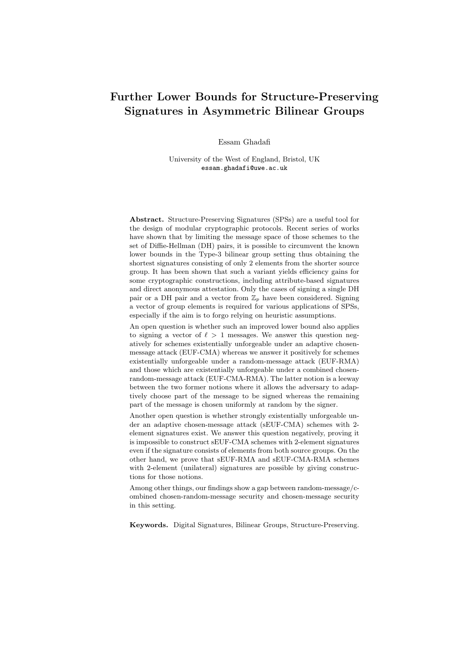## Further Lower Bounds for Structure-Preserving Signatures in Asymmetric Bilinear Groups

Essam Ghadafi

University of the West of England, Bristol, UK essam.ghadafi@uwe.ac.uk

Abstract. Structure-Preserving Signatures (SPSs) are a useful tool for the design of modular cryptographic protocols. Recent series of works have shown that by limiting the message space of those schemes to the set of Diffie-Hellman (DH) pairs, it is possible to circumvent the known lower bounds in the Type-3 bilinear group setting thus obtaining the shortest signatures consisting of only 2 elements from the shorter source group. It has been shown that such a variant yields efficiency gains for some cryptographic constructions, including attribute-based signatures and direct anonymous attestation. Only the cases of signing a single DH pair or a DH pair and a vector from  $\mathbb{Z}_p$  have been considered. Signing a vector of group elements is required for various applications of SPSs, especially if the aim is to forgo relying on heuristic assumptions.

An open question is whether such an improved lower bound also applies to signing a vector of  $\ell > 1$  messages. We answer this question negatively for schemes existentially unforgeable under an adaptive chosenmessage attack (EUF-CMA) whereas we answer it positively for schemes existentially unforgeable under a random-message attack (EUF-RMA) and those which are existentially unforgeable under a combined chosenrandom-message attack (EUF-CMA-RMA). The latter notion is a leeway between the two former notions where it allows the adversary to adaptively choose part of the message to be signed whereas the remaining part of the message is chosen uniformly at random by the signer.

Another open question is whether strongly existentially unforgeable under an adaptive chosen-message attack (sEUF-CMA) schemes with 2 element signatures exist. We answer this question negatively, proving it is impossible to construct sEUF-CMA schemes with 2-element signatures even if the signature consists of elements from both source groups. On the other hand, we prove that sEUF-RMA and sEUF-CMA-RMA schemes with 2-element (unilateral) signatures are possible by giving constructions for those notions.

Among other things, our findings show a gap between random-message/combined chosen-random-message security and chosen-message security in this setting.

Keywords. Digital Signatures, Bilinear Groups, Structure-Preserving.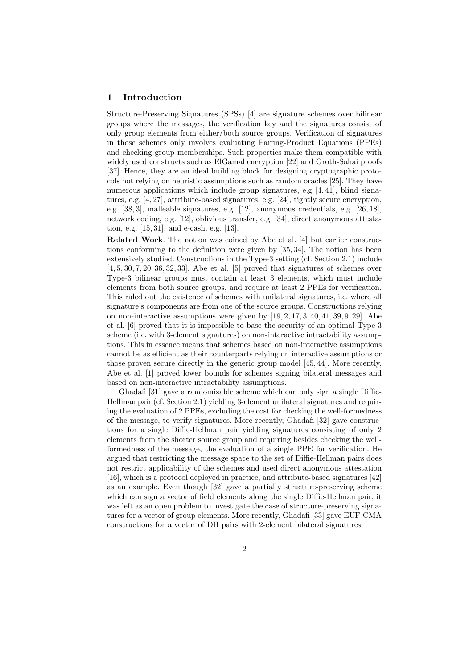#### 1 Introduction

Structure-Preserving Signatures (SPSs) [4] are signature schemes over bilinear groups where the messages, the verification key and the signatures consist of only group elements from either/both source groups. Verification of signatures in those schemes only involves evaluating Pairing-Product Equations (PPEs) and checking group memberships. Such properties make them compatible with widely used constructs such as ElGamal encryption [22] and Groth-Sahai proofs [37]. Hence, they are an ideal building block for designing cryptographic protocols not relying on heuristic assumptions such as random oracles [25]. They have numerous applications which include group signatures, e.g [4, 41], blind signatures, e.g. [4, 27], attribute-based signatures, e.g. [24], tightly secure encryption, e.g. [38, 3], malleable signatures, e.g. [12], anonymous credentials, e.g. [26, 18], network coding, e.g. [12], oblivious transfer, e.g. [34], direct anonymous attestation, e.g. [15, 31], and e-cash, e.g. [13].

Related Work. The notion was coined by Abe et al. [4] but earlier constructions conforming to the definition were given by [35, 34]. The notion has been extensively studied. Constructions in the Type-3 setting (cf. Section 2.1) include [4, 5, 30, 7, 20, 36, 32, 33]. Abe et al. [5] proved that signatures of schemes over Type-3 bilinear groups must contain at least 3 elements, which must include elements from both source groups, and require at least 2 PPEs for verification. This ruled out the existence of schemes with unilateral signatures, i.e. where all signature's components are from one of the source groups. Constructions relying on non-interactive assumptions were given by  $[19, 2, 17, 3, 40, 41, 39, 9, 29]$ . Abe et al. [6] proved that it is impossible to base the security of an optimal Type-3 scheme (i.e. with 3-element signatures) on non-interactive intractability assumptions. This in essence means that schemes based on non-interactive assumptions cannot be as efficient as their counterparts relying on interactive assumptions or those proven secure directly in the generic group model [45, 44]. More recently, Abe et al. [1] proved lower bounds for schemes signing bilateral messages and based on non-interactive intractability assumptions.

Ghadafi [31] gave a randomizable scheme which can only sign a single Diffie-Hellman pair (cf. Section 2.1) yielding 3-element unilateral signatures and requiring the evaluation of 2 PPEs, excluding the cost for checking the well-formedness of the message, to verify signatures. More recently, Ghadafi [32] gave constructions for a single Diffie-Hellman pair yielding signatures consisting of only 2 elements from the shorter source group and requiring besides checking the wellformedness of the message, the evaluation of a single PPE for verification. He argued that restricting the message space to the set of Diffie-Hellman pairs does not restrict applicability of the schemes and used direct anonymous attestation [16], which is a protocol deployed in practice, and attribute-based signatures [42] as an example. Even though [32] gave a partially structure-preserving scheme which can sign a vector of field elements along the single Diffie-Hellman pair, it was left as an open problem to investigate the case of structure-preserving signatures for a vector of group elements. More recently, Ghadafi [33] gave EUF-CMA constructions for a vector of DH pairs with 2-element bilateral signatures.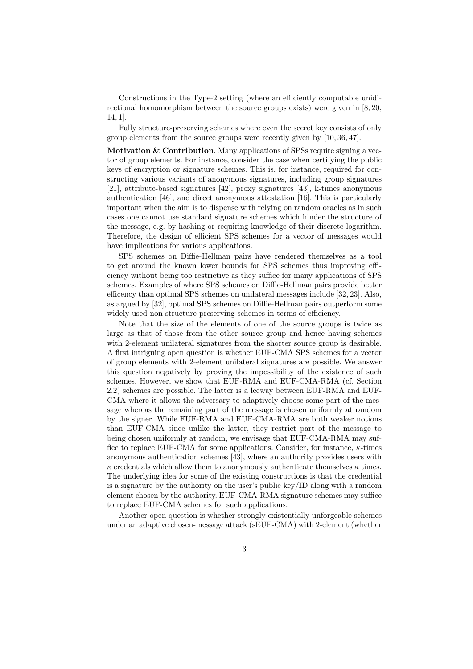Constructions in the Type-2 setting (where an efficiently computable unidirectional homomorphism between the source groups exists) were given in [8, 20, 14, 1].

Fully structure-preserving schemes where even the secret key consists of only group elements from the source groups were recently given by [10, 36, 47].

Motivation & Contribution. Many applications of SPSs require signing a vector of group elements. For instance, consider the case when certifying the public keys of encryption or signature schemes. This is, for instance, required for constructing various variants of anonymous signatures, including group signatures [21], attribute-based signatures [42], proxy signatures [43], k-times anonymous authentication [46], and direct anonymous attestation [16]. This is particularly important when the aim is to dispense with relying on random oracles as in such cases one cannot use standard signature schemes which hinder the structure of the message, e.g. by hashing or requiring knowledge of their discrete logarithm. Therefore, the design of efficient SPS schemes for a vector of messages would have implications for various applications.

SPS schemes on Diffie-Hellman pairs have rendered themselves as a tool to get around the known lower bounds for SPS schemes thus improving efficiency without being too restrictive as they suffice for many applications of SPS schemes. Examples of where SPS schemes on Diffie-Hellman pairs provide better efficency than optimal SPS schemes on unilateral messages include [32, 23]. Also, as argued by [32], optimal SPS schemes on Diffie-Hellman pairs outperform some widely used non-structure-preserving schemes in terms of efficiency.

Note that the size of the elements of one of the source groups is twice as large as that of those from the other source group and hence having schemes with 2-element unilateral signatures from the shorter source group is desirable. A first intriguing open question is whether EUF-CMA SPS schemes for a vector of group elements with 2-element unilateral signatures are possible. We answer this question negatively by proving the impossibility of the existence of such schemes. However, we show that EUF-RMA and EUF-CMA-RMA (cf. Section 2.2) schemes are possible. The latter is a leeway between EUF-RMA and EUF-CMA where it allows the adversary to adaptively choose some part of the message whereas the remaining part of the message is chosen uniformly at random by the signer. While EUF-RMA and EUF-CMA-RMA are both weaker notions than EUF-CMA since unlike the latter, they restrict part of the message to being chosen uniformly at random, we envisage that EUF-CMA-RMA may suffice to replace EUF-CMA for some applications. Consider, for instance,  $\kappa$ -times anonymous authentication schemes [43], where an authority provides users with  $\kappa$  credentials which allow them to anonymously authenticate themselves  $\kappa$  times. The underlying idea for some of the existing constructions is that the credential is a signature by the authority on the user's public key/ID along with a random element chosen by the authority. EUF-CMA-RMA signature schemes may suffice to replace EUF-CMA schemes for such applications.

Another open question is whether strongly existentially unforgeable schemes under an adaptive chosen-message attack (sEUF-CMA) with 2-element (whether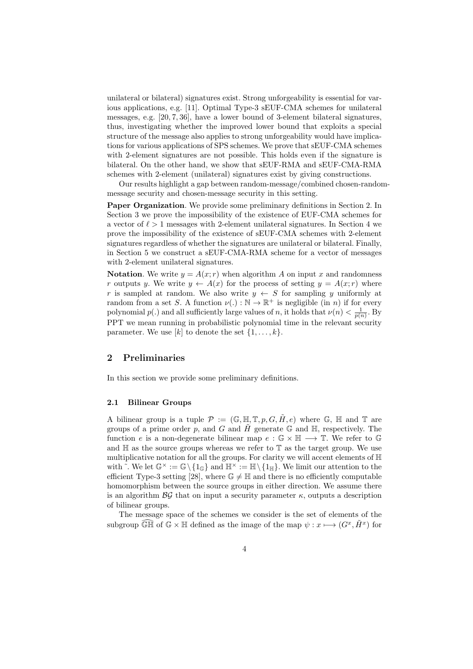unilateral or bilateral) signatures exist. Strong unforgeability is essential for various applications, e.g. [11]. Optimal Type-3 sEUF-CMA schemes for unilateral messages, e.g. [20, 7, 36], have a lower bound of 3-element bilateral signatures, thus, investigating whether the improved lower bound that exploits a special structure of the message also applies to strong unforgeability would have implications for various applications of SPS schemes. We prove that sEUF-CMA schemes with 2-element signatures are not possible. This holds even if the signature is bilateral. On the other hand, we show that sEUF-RMA and sEUF-CMA-RMA schemes with 2-element (unilateral) signatures exist by giving constructions.

Our results highlight a gap between random-message/combined chosen-randommessage security and chosen-message security in this setting.

Paper Organization. We provide some preliminary definitions in Section 2. In Section 3 we prove the impossibility of the existence of EUF-CMA schemes for a vector of  $\ell > 1$  messages with 2-element unilateral signatures. In Section 4 we prove the impossibility of the existence of sEUF-CMA schemes with 2-element signatures regardless of whether the signatures are unilateral or bilateral. Finally, in Section 5 we construct a sEUF-CMA-RMA scheme for a vector of messages with 2-element unilateral signatures.

**Notation.** We write  $y = A(x; r)$  when algorithm A on input x and randomness r outputs y. We write  $y \leftarrow A(x)$  for the process of setting  $y = A(x; r)$  where r is sampled at random. We also write  $y \leftarrow S$  for sampling y uniformly at random from a set S. A function  $\nu(.) : \mathbb{N} \to \mathbb{R}^+$  is negligible (in n) if for every polynomial  $p(.)$  and all sufficiently large values of n, it holds that  $\nu(n) < \frac{1}{p(n)}$ . By PPT we mean running in probabilistic polynomial time in the relevant security parameter. We use [k] to denote the set  $\{1, \ldots, k\}$ .

### 2 Preliminaries

In this section we provide some preliminary definitions.

#### 2.1 Bilinear Groups

A bilinear group is a tuple  $\mathcal{P} := (\mathbb{G}, \mathbb{H}, \mathbb{T}, p, G, H, e)$  where  $\mathbb{G}, \mathbb{H}$  and  $\mathbb{T}$  are groups of a prime order p, and G and  $\tilde{H}$  generate G and H, respectively. The function e is a non-degenerate bilinear map  $e : \mathbb{G} \times \mathbb{H} \longrightarrow \mathbb{T}$ . We refer to  $\mathbb{G}$ and  $\mathbb H$  as the source groups whereas we refer to  $\mathbb T$  as the target group. We use multiplicative notation for all the groups. For clarity we will accent elements of  $\mathbb H$ with  $\tilde{\ }$ . We let  $\mathbb{G}^{\times} := \mathbb{G} \setminus \{1_{\mathbb{G}}\}$  and  $\mathbb{H}^{\times} := \mathbb{H} \setminus \{1_{\mathbb{H}}\}$ . We limit our attention to the efficient Type-3 setting [28], where  $\mathbb{G} \neq \mathbb{H}$  and there is no efficiently computable homomorphism between the source groups in either direction. We assume there is an algorithm  $\beta \mathcal{G}$  that on input a security parameter  $\kappa$ , outputs a description of bilinear groups.

The message space of the schemes we consider is the set of elements of the subgroup  $\widehat{\mathbb{GH}}$  of  $\mathbb{G} \times \mathbb{H}$  defined as the image of the map  $\psi: x \longmapsto (G^x, \tilde{H}^x)$  for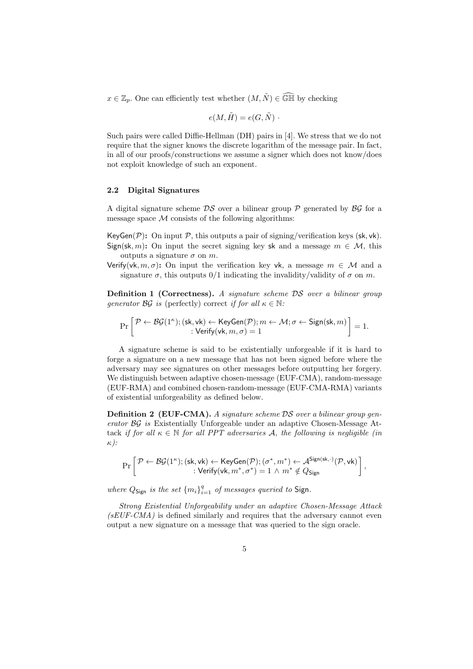$x \in \mathbb{Z}_p$ . One can efficiently test whether  $(M, \tilde{N}) \in \widehat{\mathbb{GH}}$  by checking

$$
e(M, \tilde{H}) = e(G, \tilde{N}) \cdot
$$

Such pairs were called Diffie-Hellman (DH) pairs in [4]. We stress that we do not require that the signer knows the discrete logarithm of the message pair. In fact, in all of our proofs/constructions we assume a signer which does not know/does not exploit knowledge of such an exponent.

#### 2.2 Digital Signatures

A digital signature scheme  $DS$  over a bilinear group  $\mathcal P$  generated by  $\mathcal{BG}$  for a message space  $\mathcal M$  consists of the following algorithms:

KeyGen( $\mathcal{P}$ ): On input  $\mathcal{P}$ , this outputs a pair of signing/verification keys (sk, vk). Sign(sk, m): On input the secret signing key sk and a message  $m \in \mathcal{M}$ , this outputs a signature  $\sigma$  on  $m$ .

Verify(vk,  $m, \sigma$ ): On input the verification key vk, a message  $m \in \mathcal{M}$  and a signature  $\sigma$ , this outputs 0/1 indicating the invalidity/validity of  $\sigma$  on m.

**Definition 1 (Correctness).** A signature scheme  $DS$  over a bilinear group generator  $\mathcal{BG}$  is (perfectly) correct if for all  $\kappa \in \mathbb{N}$ :

$$
\Pr\left[\mathcal{P}\leftarrow \mathcal{B}\mathcal{G}(1^\kappa); (\mathsf{sk},\mathsf{vk})\leftarrow \mathsf{KeyGen}(\mathcal{P}); m\leftarrow \mathcal{M}; \sigma\leftarrow \mathsf{Sign}(\mathsf{sk},m)\\:\mathsf{Verify}(\mathsf{vk},m,\sigma)=1\right)=1.
$$

A signature scheme is said to be existentially unforgeable if it is hard to forge a signature on a new message that has not been signed before where the adversary may see signatures on other messages before outputting her forgery. We distinguish between adaptive chosen-message (EUF-CMA), random-message (EUF-RMA) and combined chosen-random-message (EUF-CMA-RMA) variants of existential unforgeability as defined below.

**Definition 2 (EUF-CMA).** A signature scheme  $DS$  over a bilinear group generator BG is Existentially Unforgeable under an adaptive Chosen-Message Attack if for all  $\kappa \in \mathbb{N}$  for all PPT adversaries A, the following is negligible (in κ):

$$
\Pr\left[\frac{\mathcal{P} \leftarrow \mathcal{B}\mathcal{G}(1^{\kappa}); (\mathsf{sk}, \mathsf{vk}) \leftarrow \mathsf{KeyGen}(\mathcal{P}); (\sigma^*, m^*) \leftarrow \mathcal{A}^{\mathsf{Sign}(\mathsf{sk}, \cdot)}(\mathcal{P}, \mathsf{vk})}{\mathsf{:} \mathsf{Verify}(\mathsf{vk}, m^*, \sigma^*) = 1 \land m^* \notin Q_{\mathsf{Sign}}},\right.\right],
$$

where  $Q_{\text{Sign}}$  is the set  $\{m_i\}_{i=1}^q$  of messages queried to Sign.

Strong Existential Unforgeability under an adaptive Chosen-Message Attack  $(sEUF-CMA)$  is defined similarly and requires that the adversary cannot even output a new signature on a message that was queried to the sign oracle.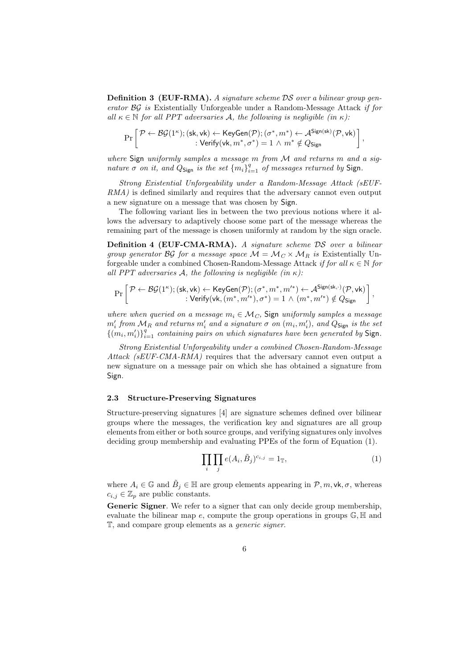**Definition 3 (EUF-RMA).** A signature scheme DS over a bilinear group generator  $\beta \mathcal{G}$  is Existentially Unforgeable under a Random-Message Attack if for all  $\kappa \in \mathbb{N}$  for all PPT adversaries A, the following is negligible (in  $\kappa$ ):

$$
\Pr\left[\frac{\mathcal{P} \leftarrow \mathcal{B}\mathcal{G}(1^{\kappa}); (\mathsf{sk},\mathsf{vk}) \leftarrow \mathsf{KeyGen}(\mathcal{P}); (\sigma^*,m^*) \leftarrow \mathcal{A}^{\mathsf{Sign}(\mathsf{sk})}(\mathcal{P},\mathsf{vk})}{:\mathsf{Verify}(\mathsf{vk},m^*,\sigma^*) = 1 \wedge m^* \notin Q_{\mathsf{Sign}}}\right]\right]
$$

,

where  $Sign$  uniformly samples a message m from  $M$  and returns m and a signature  $\sigma$  on it, and  $Q_{Sign}$  is the set  $\{m_i\}_{i=1}^q$  of messages returned by Sign.

Strong Existential Unforgeability under a Random-Message Attack (sEUF-RMA) is defined similarly and requires that the adversary cannot even output a new signature on a message that was chosen by Sign.

The following variant lies in between the two previous notions where it allows the adversary to adaptively choose some part of the message whereas the remaining part of the message is chosen uniformly at random by the sign oracle.

Definition 4 (EUF-CMA-RMA). A signature scheme DS over a bilinear group generator BG for a message space  $\mathcal{M} = \mathcal{M}_C \times \mathcal{M}_R$  is Existentially Unforgeable under a combined Chosen-Random-Message Attack if for all  $\kappa \in \mathbb{N}$  for all PPT adversaries A, the following is negligible  $(in \kappa)$ :

$$
\Pr\left[\mathcal{P}\leftarrow\mathcal{B}\mathcal{G}(1^{\kappa});(\text{sk},\text{vk})\leftarrow\text{KeyGen}(\mathcal{P});(\sigma^*,m^*,m'^*)\leftarrow\mathcal{A}^{\text{Sign}(\text{sk},\cdot)}(\mathcal{P},\text{vk})\\:\text{Verify}(\text{vk},(m^*,m'^*),\sigma^*)=1\wedge(m^*,m'^*)\notin Q_{\text{Sign}}\right],
$$

where when queried on a message  $m_i \in \mathcal{M}_C$ , Sign uniformly samples a message  $m'_i$  from  $\mathcal{M}_R$  and returns  $m'_i$  and a signature  $\sigma$  on  $(m_i, m'_i)$ , and  $Q_{\mathsf{Sign}}$  is the set  $\{(m_i, m'_i)\}_{i=1}^q$  containing pairs on which signatures have been generated by Sign.

Strong Existential Unforgeability under a combined Chosen-Random-Message Attack (sEUF-CMA-RMA) requires that the adversary cannot even output a new signature on a message pair on which she has obtained a signature from Sign.

#### 2.3 Structure-Preserving Signatures

Structure-preserving signatures [4] are signature schemes defined over bilinear groups where the messages, the verification key and signatures are all group elements from either or both source groups, and verifying signatures only involves deciding group membership and evaluating PPEs of the form of Equation (1).

$$
\prod_{i} \prod_{j} e(A_i, \tilde{B}_j)^{c_{i,j}} = 1_{\mathbb{T}},\tag{1}
$$

where  $A_i \in \mathbb{G}$  and  $\tilde{B}_j \in \mathbb{H}$  are group elements appearing in  $\mathcal{P}, m, \forall k, \sigma$ , whereas  $c_{i,j} \in \mathbb{Z}_p$  are public constants.

Generic Signer. We refer to a signer that can only decide group membership, evaluate the bilinear map  $e$ , compute the group operations in groups  $\mathbb{G}, \mathbb{H}$  and T, and compare group elements as a generic signer.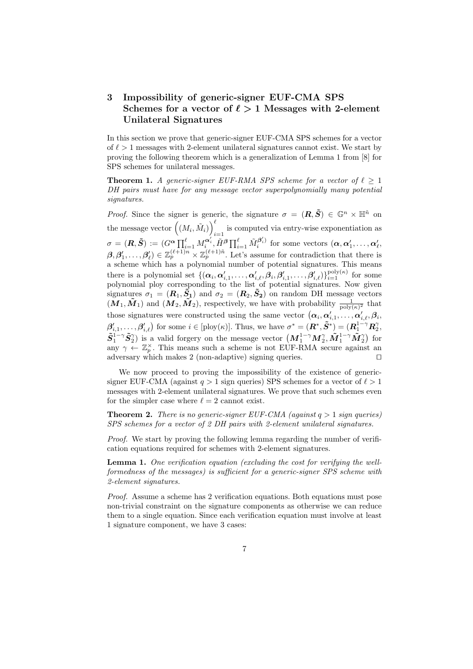## 3 Impossibility of generic-signer EUF-CMA SPS Schemes for a vector of  $\ell > 1$  Messages with 2-element Unilateral Signatures

In this section we prove that generic-signer EUF-CMA SPS schemes for a vector of  $\ell > 1$  messages with 2-element unilateral signatures cannot exist. We start by proving the following theorem which is a generalization of Lemma 1 from [8] for SPS schemes for unilateral messages.

**Theorem 1.** A generic-signer EUF-RMA SPS scheme for a vector of  $\ell > 1$ DH pairs must have for any message vector superpolynomially many potential signatures.

*Proof.* Since the signer is generic, the signature  $\sigma = (\mathbf{R}, \tilde{\mathbf{S}}) \in \mathbb{G}^n \times \mathbb{H}^{\tilde{n}}$  on the message vector  $((M_i, \tilde{M}_i))^{\ell}$  is computed via entry-wise exponentiation as  $\sigma = (\boldsymbol{R}, \tilde{\boldsymbol{S}}) := (G^{\boldsymbol{\alpha}} \prod_{i=1}^\ell M_i^{\boldsymbol{\alpha}'_i}, \tilde{H}^{\boldsymbol{\beta}} \prod_{i=1}^\ell \tilde{M}_i^{\boldsymbol{\beta}'_i})$  $\hat{\boldsymbol{\alpha}}_i^{(\boldsymbol{\beta}_i')}$  for some vectors  $(\boldsymbol{\alpha}, \boldsymbol{\alpha}_1', \ldots, \boldsymbol{\alpha}_{\ell}',$  $(\beta, \beta'_1, \ldots, \beta'_\ell) \in \mathbb{Z}_p^{(\ell+1)n} \times \mathbb{Z}_p^{(\ell+1)\tilde{n}}$ . Let's assume for contradiction that there is a scheme which has a polynomial number of potential signatures. This means there is a polynomial set  $\{(\alpha_i, \alpha_{i,1}', \ldots, \alpha_{i,\ell}', \beta_i, \beta_{i,1}', \ldots, \beta_{i,\ell}')\}_{i=1}^{\text{poly}(\kappa)}$  for some polynomial ploy corresponding to the list of potential signatures. Now given signatures  $\sigma_1 = (R_1, \dot{S}_1)$  and  $\sigma_2 = (R_2, \dot{S}_2)$  on random DH message vectors  $(M_1, \tilde{M}_1)$  and  $(M_2, \tilde{M}_2)$ , respectively, we have with probability  $\frac{1}{\text{poly}(\kappa)^2}$  that those signatures were constructed using the same vector  $(\alpha_i, \alpha_{i,1}', \ldots, \alpha_{i,\ell}', \beta_i,$  $\beta'_{i,1},\ldots,\beta'_{i,\ell}$  for some  $i \in [\text{ploy}(\kappa)]$ . Thus, we have  $\sigma^* = (\mathbf{R}^*, \tilde{\mathbf{S}}^*) = (\mathbf{R}_1^{1-\gamma} \mathbf{R}_2^{\gamma},$  $\tilde{S}_1^{1-\gamma} \tilde{S}_2^{\gamma}$  is a valid forgery on the message vector  $(M_1^{1-\gamma} M_2^{\gamma}, \tilde{M}_1^{1-\gamma} \tilde{M}_2^{\gamma})$  for any  $\gamma \leftarrow \mathbb{Z}_p^{\times}$ . This means such a scheme is not EUF-RMA secure against an adversary which makes 2 (non-adaptive) signing queries.  $\square$ 

We now proceed to proving the impossibility of the existence of genericsigner EUF-CMA (against  $q > 1$  sign queries) SPS schemes for a vector of  $\ell > 1$ messages with 2-element unilateral signatures. We prove that such schemes even for the simpler case where  $\ell = 2$  cannot exist.

**Theorem 2.** There is no generic-signer EUF-CMA (against  $q > 1$  sign queries) SPS schemes for a vector of 2 DH pairs with 2-element unilateral signatures.

Proof. We start by proving the following lemma regarding the number of verification equations required for schemes with 2-element signatures.

Lemma 1. One verification equation (excluding the cost for verifying the wellformedness of the messages) is sufficient for a generic-signer SPS scheme with 2-element signatures.

Proof. Assume a scheme has 2 verification equations. Both equations must pose non-trivial constraint on the signature components as otherwise we can reduce them to a single equation. Since each verification equation must involve at least 1 signature component, we have 3 cases: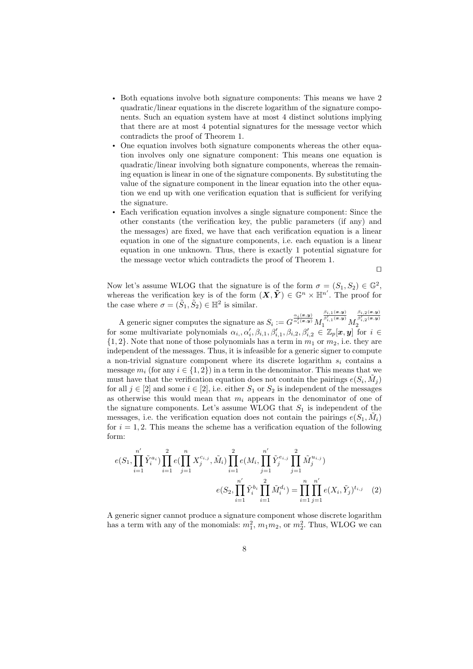- Both equations involve both signature components: This means we have 2 quadratic/linear equations in the discrete logarithm of the signature components. Such an equation system have at most 4 distinct solutions implying that there are at most 4 potential signatures for the message vector which contradicts the proof of Theorem 1.
- One equation involves both signature components whereas the other equation involves only one signature component: This means one equation is quadratic/linear involving both signature components, whereas the remaining equation is linear in one of the signature components. By substituting the value of the signature component in the linear equation into the other equation we end up with one verification equation that is sufficient for verifying the signature.
- Each verification equation involves a single signature component: Since the other constants (the verification key, the public parameters (if any) and the messages) are fixed, we have that each verification equation is a linear equation in one of the signature components, i.e. each equation is a linear equation in one unknown. Thus, there is exactly 1 potential signature for the message vector which contradicts the proof of Theorem 1.

 $\Box$ 

Now let's assume WLOG that the signature is of the form  $\sigma = (S_1, S_2) \in \mathbb{G}^2$ , whereas the verification key is of the form  $(X, \tilde{Y}) \in \mathbb{G}^n \times \mathbb{H}^{n'}$ . The proof for the case where  $\sigma = (\tilde{S}_1, \tilde{S}_2) \in \mathbb{H}^2$  is similar.

A generic signer computes the signature as  $S_i := G^{\frac{\alpha_i(\mathfrak{x},\mathbf{y})}{\alpha_i'(\mathfrak{x},\mathbf{y})}} M$  $\int_{1}^{\beta_{i,1}(x,y)}$ <sub>1</sub><sup>(*x*</sup>,y<sup>)</sup> M  $\frac{\beta_{i,2}(x,y)}{\beta_{i,2}'(x,y)}$ 2 for some multivariate polynomials  $\alpha_{i,1}, \alpha'_{i,1}, \beta_{i,1}, \beta'_{i,1}, \beta'_{i,2}, \beta'_{i,2} \in \mathbb{Z}_p[\mathbf{x}, \mathbf{y}]$  for  $i \in$  ${1, 2}$ . Note that none of those polynomials has a term in  $m_1$  or  $m_2$ , i.e. they are independent of the messages. Thus, it is infeasible for a generic signer to compute a non-trivial signature component where its discrete logarithm  $s_i$  contains a message  $m_i$  (for any  $i \in \{1, 2\}$ ) in a term in the denominator. This means that we must have that the verification equation does not contain the pairings  $e(S_i, \tilde{M}_j)$ for all  $j \in [2]$  and some  $i \in [2]$ , i.e. either  $S_1$  or  $S_2$  is independent of the messages as otherwise this would mean that  $m_i$  appears in the denominator of one of the signature components. Let's assume WLOG that  $S_1$  is independent of the messages, i.e. the verification equation does not contain the pairings  $e(S_1, \tilde{M}_i)$ for  $i = 1, 2$ . This means the scheme has a verification equation of the following form:

$$
e(S_1, \prod_{i=1}^{n'} \tilde{Y}_i^{a_i}) \prod_{i=1}^{2} e(\prod_{j=1}^{n} X_j^{c_{i,j}}, \tilde{M}_i) \prod_{i=1}^{2} e(M_i, \prod_{j=1}^{n'} \tilde{Y}_j^{e_{i,j}} \prod_{j=1}^{2} \tilde{M}_j^{u_{i,j}})
$$

$$
e(S_2, \prod_{i=1}^{n'} \tilde{Y}_i^{b_i} \prod_{i=1}^{2} \tilde{M}_i^{d_i}) = \prod_{i=1}^{n} \prod_{j=1}^{n'} e(X_i, \tilde{Y}_j)^{t_{i,j}} \quad (2)
$$

A generic signer cannot produce a signature component whose discrete logarithm has a term with any of the monomials:  $m_1^2$ ,  $m_1m_2$ , or  $m_2^2$ . Thus, WLOG we can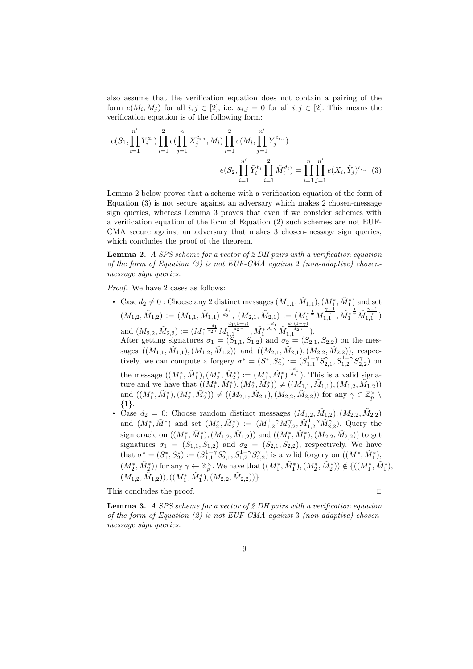also assume that the verification equation does not contain a pairing of the form  $e(M_i, \tilde{M}_j)$  for all  $i, j \in [2]$ , i.e.  $u_{i,j} = 0$  for all  $i, j \in [2]$ . This means the verification equation is of the following form:

$$
e(S_1, \prod_{i=1}^{n'} \tilde{Y}_i^{a_i}) \prod_{i=1}^{2} e(\prod_{j=1}^{n} X_j^{c_{i,j}}, \tilde{M}_i) \prod_{i=1}^{2} e(M_i, \prod_{j=1}^{n'} \tilde{Y}_j^{e_{i,j}})
$$

$$
e(S_2, \prod_{i=1}^{n'} \tilde{Y}_i^{b_i} \prod_{i=1}^{2} \tilde{M}_i^{d_i}) = \prod_{i=1}^{n} \prod_{j=1}^{n'} e(X_i, \tilde{Y}_j)^{t_{i,j}} \tag{3}
$$

Lemma 2 below proves that a scheme with a verification equation of the form of Equation (3) is not secure against an adversary which makes 2 chosen-message sign queries, whereas Lemma 3 proves that even if we consider schemes with a verification equation of the form of Equation (2) such schemes are not EUF-CMA secure against an adversary that makes 3 chosen-message sign queries, which concludes the proof of the theorem.

**Lemma 2.** A SPS scheme for a vector of 2 DH pairs with a verification equation of the form of Equation (3) is not EUF-CMA against 2 (non-adaptive) chosenmessage sign queries.

Proof. We have 2 cases as follows:

- Case  $d_2 \neq 0$ : Choose any 2 distinct messages  $(M_{1,1}, \tilde{M}_{1,1}), (M_1^*, \tilde{M}_1^*)$  and set  $_1, \mu_1$  $(M_{1,2}, \tilde{M}_{1,2}) := (M_{1,1}, \tilde{M}_{1,1})^{\frac{-d_1}{d_2}}, (M_{2,1}, \tilde{M}_{2,1}) := (M_1^*$  $\frac{1}{\gamma}\overline{M^{\frac{\gamma-1}{\gamma}}_{1,1}}, \tilde{M^*_1}$  $\frac{1}{\gamma}\tilde{M}_{1,1}^{\frac{\gamma-1}{\gamma}})$ and  $(M_{2,2}, \tilde{M}_{2,2}) := (M_1^*$  $\frac{-d_1}{d_2\gamma} M_{1,1}^{\frac{d_1(1-\gamma)}{d_2\gamma}}, \tilde{M_1^*}$  $\frac{-d_1}{d_2\gamma}\tilde{M}^{\frac{d_1(1-\gamma)}{d_2\gamma}}_{1,1}).$ After getting signatures  $\sigma_1 = (S_{1,1}, S_{1,2})$  and  $\sigma_2 = (S_{2,1}, S_{2,2})$  on the messages  $((M_{1,1}, \tilde{M}_{1,1}), (M_{1,2}, \tilde{M}_{1,2}))$  and  $((M_{2,1}, \tilde{M}_{2,1}), (M_{2,2}, \tilde{M}_{2,2}))$ , respectively, we can compute a forgery  $\sigma^* = (S_1^*, S_2^*) := (S_{1,1}^{1-\gamma} S_{2,1}^{\gamma}, S_{1,2}^{1-\gamma} S_{2,2}^{\gamma})$  on the message  $((M_1^*, \tilde{M}_1^*), (M_2^*, \tilde{M}_2^*) := (M_1^*, \tilde{M}_1^*)^{\frac{-d_1}{d_2}})$ . This is a valid signature and we have that  $((M_1^*, \tilde{M}_1^*), (M_2^*, \tilde{M}_2^*)) \neq ((M_{1,1}, \tilde{M}_{1,1}), (M_{1,2}, \tilde{M}_{1,2}))$ and  $((M_1^*, \tilde{M}_1^*), (M_2^*, \tilde{M}_2^*)) \neq ((M_{2,1}, \tilde{M}_{2,1}), (M_{2,2}, \tilde{M}_{2,2}))$  for any  $\gamma \in \mathbb{Z}_p^{\times} \setminus$ {1}. • Case  $d_2 = 0$ : Choose random distinct messages  $(M_{1,2}, \tilde{M}_{1,2}), (M_{2,2}, \tilde{M}_{2,2})$ and  $(M_1^*, \tilde{M}_1^*)$  and set  $(M_2^*, \tilde{M}_2^*) := (M_{1,2}^{1-\gamma} M_{2,2}^{\gamma}, \tilde{M}_{1,2}^{1-\gamma} \tilde{M}_{2,2}^{\gamma}).$  Query the sign oracle on  $((M_1^*, \tilde{M}_1^*), (M_{1,2}, \tilde{M}_{1,2}))$  and  $((M_1^*, \tilde{M}_1^*), (M_{2,2}, \tilde{M}_{2,2}))$  to get signatures  $\sigma_1 = (S_{1,1}, S_{1,2})$  and  $\sigma_2 = (S_{2,1}, S_{2,2})$ , respectively. We have that  $\sigma^* = (S_1^*, S_2^*) := (S_{1,1}^{1-\gamma} S_{2,1}^{\gamma}, S_{1,2}^{1-\gamma} S_{2,2}^{\gamma})$  is a valid forgery on  $((M_1^*, \tilde{M}_1^*)$ ,
	- $(M_2^*, \tilde{M}_2^*)$  for any  $\gamma \leftarrow \mathbb{Z}_p^{\times}$ . We have that  $((M_1^*, \tilde{M}_1^*), (M_2^*, \tilde{M}_2^*)) \notin \{((M_1^*, \tilde{M}_1^*),$  $(M_{1,2}, \tilde{M}_{1,2}), ((M^*_1, \tilde{M}^*_1), (M_{2,2}, \tilde{M}_{2,2}))\}.$

This concludes the proof.

$$
\Box
$$

**Lemma 3.** A SPS scheme for a vector of 2 DH pairs with a verification equation of the form of Equation (2) is not EUF-CMA against 3 (non-adaptive) chosenmessage sign queries.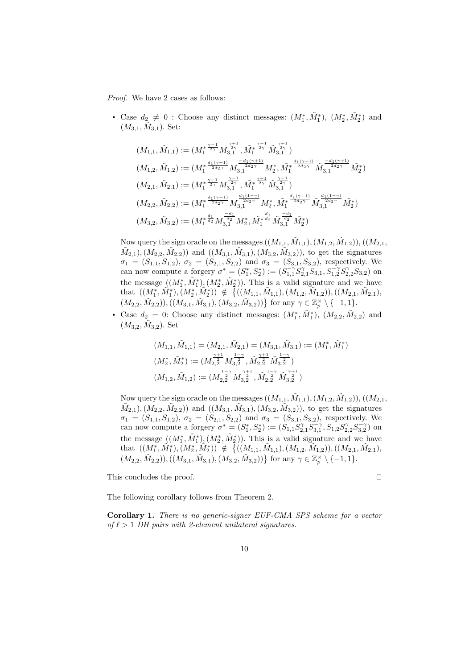Proof. We have 2 cases as follows:

• Case  $d_2 \neq 0$ : Choose any distinct messages:  $(M_1^*, \tilde{M}_1^*)$ ,  $(M_2^*, \tilde{M}_2^*)$  and  $(M_{3,1}, \tilde{M}_{3,1})$ . Set:

$$
\begin{split} &(M_{1,1},\tilde{M}_{1,1}) := (M_{1}^{*}\overset{\frac{\gamma-1}{2\gamma}}{2\gamma}M_{3,1}^{\frac{\gamma+1}{2\gamma}}, \tilde{M}_{1}^{*}\overset{\frac{\gamma-1}{2\gamma}}{2\gamma}\tilde{M}_{3,1}^{\frac{\gamma+1}{2\gamma}})\\ &(M_{1,2},\tilde{M}_{1,2}) := (M_{1}^{*}\overset{d_{1}(\gamma+1)}{2d_{2}\gamma}M_{3,1}^{-\frac{d_{1}(\gamma+1)}{2d_{2}\gamma}}M_{2}^{*}, \tilde{M_{1}^{*}}^{\frac{d_{1}(\gamma+1)}{2d_{2}\gamma}}\tilde{M}_{3,1}^{-\frac{d_{1}(\gamma+1)}{2d_{2}\gamma}}M_{3,1}^{*})\\ &(M_{2,1},\tilde{M}_{2,1}) := (M_{1}^{*}\overset{\frac{\gamma+1}{2\gamma}}{2\gamma}M_{3,1}^{\frac{\gamma-1}{2\gamma}}, \tilde{M_{1}^{*}}^{\frac{\gamma+1}{2\gamma}}\tilde{M}_{3,1}^{\frac{\gamma-1}{2\gamma}})\\ &(M_{2,2},\tilde{M}_{2,2}) := (M_{1}^{*}\overset{d_{1}(\gamma-1)}{2d_{2}\gamma}M_{3,1}^{\frac{d_{1}(\gamma-1)}{2d_{2}\gamma}}M_{2}^{*}, \tilde{M_{1}^{*}}^{\frac{d_{1}(\gamma-1)}{2d_{2}\gamma}}\tilde{M}_{3,1}^{\frac{d_{1}(\gamma-1)}{2d_{2}\gamma}}\tilde{M_{2}^{*}})\\ &(M_{3,2},\tilde{M}_{3,2}) := (M_{1}^{*}\overset{d_{1}}{^d2}M_{3,1}^{\frac{-d_{1}}{d2}}M_{2}^{*}, \tilde{M_{1}^{*}}^{\frac{d_{1}}{d2}}\tilde{M}_{3,1}^{-\frac{-d_{1}}{d2}}\tilde{M_{2}^{*}})\\ \end{split}
$$

Now query the sign oracle on the messages  $((M_{1,1}, \tilde{M}_{1,1}), (M_{1,2}, \tilde{M}_{1,2})), ((M_{2,1},$  $(M_{2,1}), (M_{2,2}, \tilde{M}_{2,2})$  and  $((M_{3,1}, \tilde{M}_{3,1}), (M_{3,2}, \tilde{M}_{3,2}))$ , to get the signatures  $\sigma_1 = (S_{1,1}, S_{1,2}), \sigma_2 = (S_{2,1}, S_{2,2})$  and  $\sigma_3 = (S_{3,1}, S_{3,2}),$  respectively. We can now compute a forgery  $\sigma^* = (S_1^*, S_2^*) := (S_{1,1}^{-\gamma} S_{2,1}^{\gamma} S_{3,1}, S_{1,2}^{-\gamma} S_{2,2}^{\gamma} S_{3,2})$  on the message  $((M_1^*, \tilde{M}_1^*)_1, (M_2^*, \tilde{M}_2^*))$ . This is a valid signature and we have that  $((M_1^*, \tilde{M}_1^*), (M_2^*, \tilde{M}_2^*)) \notin \{((M_{1,1}, \tilde{M}_{1,1}), (M_{1,2}, \tilde{M}_{1,2})), ((M_{2,1}, \tilde{M}_{2,1}),$  $(M_{2,2}, \tilde{M}_{2,2}), ((M_{3,1}, \tilde{M}_{3,1}), (M_{3,2}, \tilde{M}_{3,2}))\}$  for any  $\gamma \in \mathbb{Z}_p^{\times} \setminus \{-1, 1\}$ .

• Case  $d_2 = 0$ : Choose any distinct messages:  $(M_1^*, \tilde{M}_1^*)$ ,  $(M_{2,2}, \tilde{M}_{2,2})$  and  $(M_{3,2}, \tilde{M}_{3,2})$ . Set

$$
(M_{1,1}, \tilde{M}_{1,1}) = (M_{2,1}, \tilde{M}_{2,1}) = (M_{3,1}, \tilde{M}_{3,1}) := (M_1^*, \tilde{M}_1^*)
$$
  

$$
(M_2^*, \tilde{M}_2^*) := (M_{2,2}^{\frac{\gamma+1}{2}} M_{3,2}^{\frac{1-\gamma}{2}}, \tilde{M}_{2,2}^{\frac{\gamma+1}{2}} \tilde{M}_{3,2}^{\frac{1-\gamma}{2}})
$$
  

$$
(M_{1,2}, \tilde{M}_{1,2}) := (M_{2,2}^{\frac{1-\gamma}{2}} M_{3,2}^{\frac{\gamma+1}{2}}, \tilde{M}_{2,2}^{\frac{1-\gamma}{2}} \tilde{M}_{3,2}^{\frac{\gamma+1}{2}})
$$

Now query the sign oracle on the messages  $((M_{1,1}, \tilde{M}_{1,1}), (M_{1,2}, \tilde{M}_{1,2})), ((M_{2,1},$  $(M_{2,1}), (M_{2,2}, \tilde{M}_{2,2})$  and  $((M_{3,1}, \tilde{M}_{3,1}), (M_{3,2}, \tilde{M}_{3,2}))$ , to get the signatures  $\sigma_1 = (S_{1,1}, S_{1,2}), \sigma_2 = (S_{2,1}, S_{2,2})$  and  $\sigma_3 = (S_{3,1}, S_{3,2}),$  respectively. We can now compute a forgery  $\sigma^* = (S_1^*, S_2^*) := (S_{1,1} S_{2,1}^{\gamma} S_{3,1}^{-\gamma}, S_{1,2} S_{2,2}^{\gamma} S_{3,2}^{-\gamma})$  on the message  $((M_1^*, \tilde{M}_1^*)_1, (M_2^*, \tilde{M}_2^*))$ . This is a valid signature and we have that  $((M_1^*, \tilde{M}_1^*), (M_2^*, \tilde{M}_2^*))^{\tilde{\theta}} \notin \{((M_{1,1}, \tilde{M}_{1,1}), (M_{1,2}, \tilde{M}_{1,2})), ((M_{2,1}, \tilde{M}_{2,1}),$  $(M_{2,2}, \tilde{M}_{2,2}), ((M_{3,1}, \tilde{M}_{3,1}), (M_{3,2}, \tilde{M}_{3,2}))\}$  for any  $\gamma \in \mathbb{Z}_p^{\times} \setminus \{-1, 1\}$ .

This concludes the proof.  $\Box$ 

The following corollary follows from Theorem 2.

Corollary 1. There is no generic-signer EUF-CMA SPS scheme for a vector of  $\ell > 1$  DH pairs with 2-element unilateral signatures.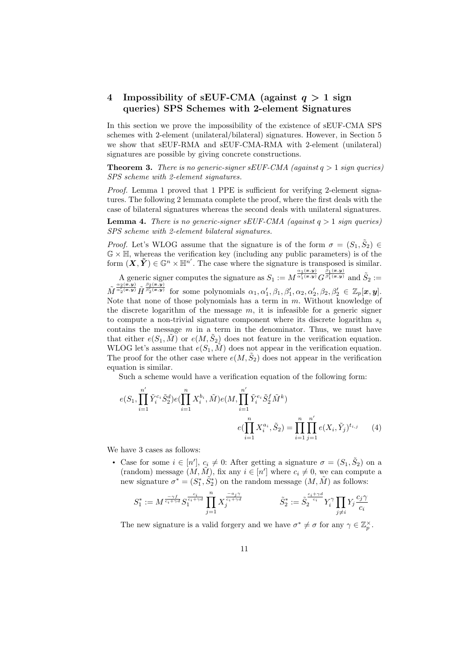## 4 Impossibility of sEUF-CMA (against  $q > 1$  sign queries) SPS Schemes with 2-element Signatures

In this section we prove the impossibility of the existence of sEUF-CMA SPS schemes with 2-element (unilateral/bilateral) signatures. However, in Section 5 we show that sEUF-RMA and sEUF-CMA-RMA with 2-element (unilateral) signatures are possible by giving concrete constructions.

**Theorem 3.** There is no generic-signer sEUF-CMA (against  $q > 1$  sign queries) SPS scheme with 2-element signatures.

Proof. Lemma 1 proved that 1 PPE is sufficient for verifying 2-element signatures. The following 2 lemmata complete the proof, where the first deals with the case of bilateral signatures whereas the second deals with unilateral signatures.

**Lemma 4.** There is no generic-signer sEUF-CMA (against  $q > 1$  sign queries) SPS scheme with 2-element bilateral signatures.

*Proof.* Let's WLOG assume that the signature is of the form  $\sigma = (S_1, \tilde{S}_2)$  $\mathbb{G} \times \mathbb{H}$ , whereas the verification key (including any public parameters) is of the form  $(X, \tilde{Y}) \in \mathbb{G}^n \times \mathbb{H}^{n'}$ . The case where the signature is transposed is similar. A generic signer computes the signature as  $S_1 := M^{\frac{\alpha_1(\bm{x}, \bm{y})}{\alpha'_1(\bm{x}, \bm{y})}} G^{\frac{\beta_1(\bm{x}, \bm{y})}{\beta'_1(\bm{x}, \bm{y})}}$  and  $\tilde{S}_2 :=$  $\tilde{M}^{\frac{\alpha_2(\boldsymbol{x},\boldsymbol{y})}{\alpha_2'(\boldsymbol{x},\boldsymbol{y})}}\tilde{H}^{\frac{\beta_2(\boldsymbol{x},\boldsymbol{y})}{\beta_2'(\boldsymbol{x},\boldsymbol{y})}}$  for some polynomials  $\alpha_1,\alpha'_1,\beta_1,\beta'_1,\alpha_2,\alpha'_2,\beta_2,\beta'_2 \in \mathbb{Z}_p[\boldsymbol{x},\boldsymbol{y}].$ Note that none of those polynomials has a term in  $m$ . Without knowledge of the discrete logarithm of the message  $m$ , it is infeasible for a generic signer to compute a non-trivial signature component where its discrete logarithm  $s_i$ contains the message  $m$  in a term in the denominator. Thus, we must have that either  $e(S_1, \tilde{M})$  or  $e(M, \tilde{S}_2)$  does not feature in the verification equation. WLOG let's assume that  $e(S_1, M)$  does not appear in the verification equation. The proof for the other case where  $e(M, \tilde{S}_2)$  does not appear in the verification equation is similar.

Such a scheme would have a verification equation of the following form:

$$
e(S_1, \prod_{i=1}^{n'} \tilde{Y}_i^{c_i} \tilde{S}_2^d) e(\prod_{i=1}^n X_i^{b_i}, \tilde{M}) e(M, \prod_{i=1}^{n'} \tilde{Y}_i^{e_i} \tilde{S}_2^f \tilde{M}^k)
$$

$$
e(\prod_{i=1}^n X_i^{a_i}, \tilde{S}_2) = \prod_{i=1}^n \prod_{j=1}^{n'} e(X_i, \tilde{Y}_j)^{t_{i,j}} \qquad (4)
$$

We have 3 cases as follows:

• Case for some  $i \in [n']$ ,  $c_i \neq 0$ : After getting a signature  $\sigma = (S_1, \tilde{S}_2)$  on a (random) message  $(M, \tilde{M})$ , fix any  $i \in [n']$  where  $c_i \neq 0$ , we can compute a new signature  $\sigma^* = (S_1^*, \tilde{S}_2^*)$  on the random message  $(M, \tilde{M})$  as follows:

$$
S_1^*:=M^{\frac{-\gamma f}{c_i+\gamma d}}S_1^{\frac{c_i}{c_i+\gamma d}}\prod_{j=1}^nX_j^{\frac{-a_j\gamma}{c_i+\gamma d}}\qquad \qquad \tilde S_2^*:=\tilde S_2^{\frac{c_i+\gamma d}{c_i}}Y_i^\gamma\prod_{j\neq i}Y_j\frac{c_j\gamma}{c_i}
$$

The new signature is a valid forgery and we have  $\sigma^* \neq \sigma$  for any  $\gamma \in \mathbb{Z}_p^{\times}$ .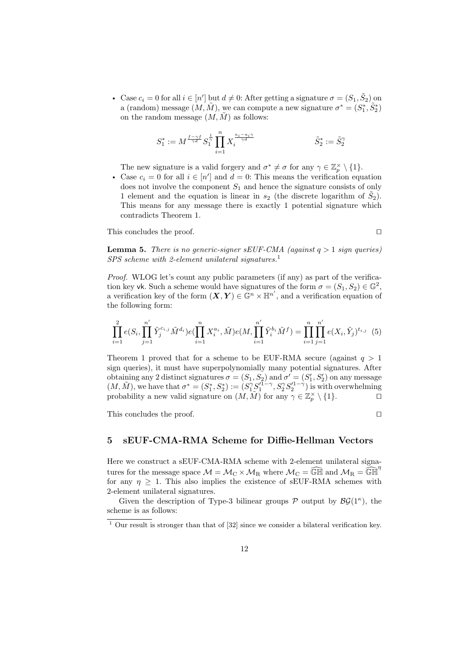• Case  $c_i = 0$  for all  $i \in [n']$  but  $d \neq 0$ : After getting a signature  $\sigma = (S_1, \tilde{S}_2)$  on a (random) message  $(M, \tilde{M})$ , we can compute a new signature  $\sigma^* = (S_1^*, \tilde{S}_2^*)$ on the random message  $(M, \tilde{M})$  as follows:

$$
S_1^* := M^{\frac{f-\gamma f}{\gamma d}} S_1^{\frac{1}{\gamma}} \prod_{i=1}^n X_i^{\frac{a_i - a_i \gamma}{\gamma d}} \qquad \qquad \tilde{S}_2^* := \tilde{S}_2^{\gamma}
$$

The new signature is a valid forgery and  $\sigma^* \neq \sigma$  for any  $\gamma \in \mathbb{Z}_p^{\times} \setminus \{1\}.$ 

• Case  $c_i = 0$  for all  $i \in [n']$  and  $d = 0$ : This means the verification equation does not involve the component  $S_1$  and hence the signature consists of only 1 element and the equation is linear in  $s_2$  (the discrete logarithm of  $\tilde{S}_2$ ). This means for any message there is exactly 1 potential signature which contradicts Theorem 1.

This concludes the proof.

$$
\Box
$$

**Lemma 5.** There is no generic-signer sEUF-CMA (against  $q > 1$  sign queries) SPS scheme with 2-element unilateral signatures.<sup>1</sup>

Proof. WLOG let's count any public parameters (if any) as part of the verification key vk. Such a scheme would have signatures of the form  $\sigma = (S_1, S_2) \in \mathbb{G}^2$ , a verification key of the form  $(\mathbf{X}, \mathbf{Y}) \in \mathbb{G}^n \times \mathbb{H}^{n'}$ , and a verification equation of the following form:

$$
\prod_{i=1}^{2} e(S_i, \prod_{j=1}^{n'} \tilde{Y}_j^{c_{i,j}} \tilde{M}^{d_i}) e(\prod_{i=1}^{n} X_i^{a_i}, \tilde{M}) e(M, \prod_{i=1}^{n'} \tilde{Y}_i^{b_i} \tilde{M}^f) = \prod_{i=1}^{n} \prod_{j=1}^{n'} e(X_i, \tilde{Y}_j)^{t_{i,j}} (5)
$$

Theorem 1 proved that for a scheme to be EUF-RMA secure (against  $q > 1$ ) sign queries), it must have superpolynomially many potential signatures. After obtaining any 2 distinct signatures  $\sigma = (S_1, S_2)$  and  $\sigma' = (S'_1, S'_2)$  on any message  $(M, \tilde{M})$ , we have that  $\sigma^* = (S_1^*, S_2^*) := (S_1^{\gamma} S_1^{\gamma-1} \gamma, S_2^{\gamma} S_2^{\gamma-1} \gamma)$  is with overwhelming probability a new valid signature on  $(M, \tilde{M})$  for any  $\gamma \in \mathbb{Z}_p^{\times} \setminus \{1\}.$ 

This concludes the proof.  $\Box$ 

5 sEUF-CMA-RMA Scheme for Diffie-Hellman Vectors

Here we construct a sEUF-CMA-RMA scheme with 2-element unilateral signatures for the message space  $\mathcal{M} = \mathcal{M}_{C} \times \mathcal{M}_{R}$  where  $\mathcal{M}_{C} = \widehat{\mathbb{GH}}$  and  $\mathcal{M}_{R} = \widehat{\mathbb{GH}}^{\eta}$ for any  $\eta \geq 1$ . This also implies the existence of sEUF-RMA schemes with 2-element unilateral signatures.

Given the description of Type-3 bilinear groups  $P$  output by  $\mathcal{B}\mathcal{G}(1^{\kappa})$ , the scheme is as follows:

 $^{\rm 1}$  Our result is stronger than that of [32] since we consider a bilateral verification key.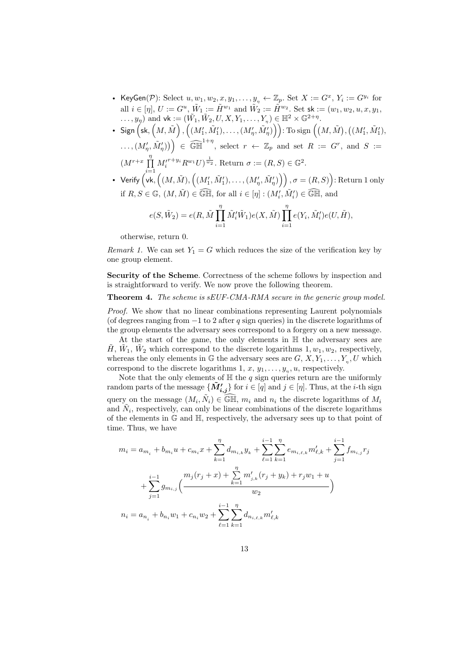- KeyGen(P): Select  $u, w_1, w_2, x, y_1, \ldots, y_n \leftarrow \mathbb{Z}_p$ . Set  $X := G^x$ ,  $Y_i := G^{y_i}$  for all  $i \in [\eta], U := G^u, \, \tilde{W}_1 := \tilde{H}^{w_1}$  and  $\tilde{W}_2 := \tilde{H}^{w_2}$ . Set sk  $:= (w_1, w_2, u, x, y_1,$  $\ldots, y_{\eta}$  and  $\mathsf{vk} := (\tilde{W}_1, \tilde{W}_2, U, X, Y_1, \ldots, Y_{\eta}) \in \mathbb{H}^2 \times \mathbb{G}^{2+\eta}.$
- Sign  $\left($  sk,  $\left( M,\tilde{M}\right)$  ,  $\left( (M_{1}',\tilde{M}_{1}'),\ldots,(M_{\eta}',\tilde{M}_{\eta}')\right) \right)$ : To sign  $\left( (M,\tilde{M}),((M_{1}',\tilde{M}_{1}'),$  $\ldots, (M'_{\eta}, \tilde{M}'_{\eta}))\Big) \in \widehat{\mathbb{GH}}^{1+\eta}, \text{ select } r \leftarrow \mathbb{Z}_p \text{ and set } R := G^r, \text{ and } S :=$  $(M^{r+x} \prod_{i=1}^{n} M'_{i}^{r+y_i} R^{w_1} U)^{\frac{1}{w_2}}$ . Return  $\sigma := (R, S) \in \mathbb{G}^2$ .
- Verify  $\left($  vk,  $\left( (M, \tilde M), \left( (M'_1, \tilde M'_1), \ldots, (M'_\eta, \tilde M'_\eta) \right) \right), \sigma = (R,S) \right)$ : Return 1 only if  $R, S \in \mathbb{G}$ ,  $(M, \tilde{M}) \in \widehat{\mathbb{GH}}$ , for all  $i \in [\eta] : (M'_i, \tilde{M}'_i) \in \widehat{\mathbb{GH}}$ , and

$$
e(S,\tilde{W}_2)=e(R,\tilde{M}\prod_{i=1}^{\eta}\tilde{M}_i'\tilde{W}_1)e(X,\tilde{M})\prod_{i=1}^{\eta}e(Y_i,\tilde{M}_i')e(U,\tilde{H}),
$$

otherwise, return 0.

Remark 1. We can set  $Y_1 = G$  which reduces the size of the verification key by one group element.

Security of the Scheme. Correctness of the scheme follows by inspection and is straightforward to verify. We now prove the following theorem.

#### Theorem 4. The scheme is sEUF-CMA-RMA secure in the generic group model.

Proof. We show that no linear combinations representing Laurent polynomials (of degrees ranging from  $-1$  to 2 after q sign queries) in the discrete logarithms of the group elements the adversary sees correspond to a forgery on a new message.

At the start of the game, the only elements in  $\mathbb H$  the adversary sees are  $\tilde{H}$ ,  $\tilde{W}_1$ ,  $\tilde{W}_2$  which correspond to the discrete logarithms 1,  $w_1, w_2$ , respectively, whereas the only elements in  $\mathbb{G}$  the adversary sees are  $G, X, Y_1, \ldots, Y_n, U$  which correspond to the discrete logarithms 1,  $x, y_1, \ldots, y_n, u$ , respectively.

Note that the only elements of  $H$  the q sign queries return are the uniformly random parts of the message  $\{\tilde{M}'_{i,j}\}$  for  $i \in [q]$  and  $j \in [\eta]$ . Thus, at the *i*-th sign query on the message  $(M_i, \tilde{N}_i) \in \widehat{\mathbb{GH}}$ ,  $m_i$  and  $n_i$  the discrete logarithms of  $M_i$ and  $\tilde{N}_i$ , respectively, can only be linear combinations of the discrete logarithms of the elements in G and H, respectively, the adversary sees up to that point of time. Thus, we have

$$
m_{i} = a_{m_{i}} + b_{m_{i}}u + c_{m_{i}}x + \sum_{k=1}^{\eta} d_{m_{i,k}}y_{k} + \sum_{\ell=1}^{i-1} \sum_{k=1}^{\eta} e_{m_{i,\ell,k}}m'_{\ell,k} + \sum_{j=1}^{i-1} f_{m_{i,j}}r_{j}
$$
  
+ 
$$
\sum_{j=1}^{i-1} g_{m_{i,j}}\left(\frac{m_{j}(r_{j}+x) + \sum_{k=1}^{\eta} m'_{j,k}(r_{j}+y_{k}) + r_{j}w_{1} + u}{w_{2}}\right)
$$
  

$$
n_{i} = a_{n_{i}} + b_{n_{i}}w_{1} + c_{n_{i}}w_{2} + \sum_{\ell=1}^{i-1} \sum_{k=1}^{\eta} d_{n_{i,\ell,k}}m'_{\ell,k}
$$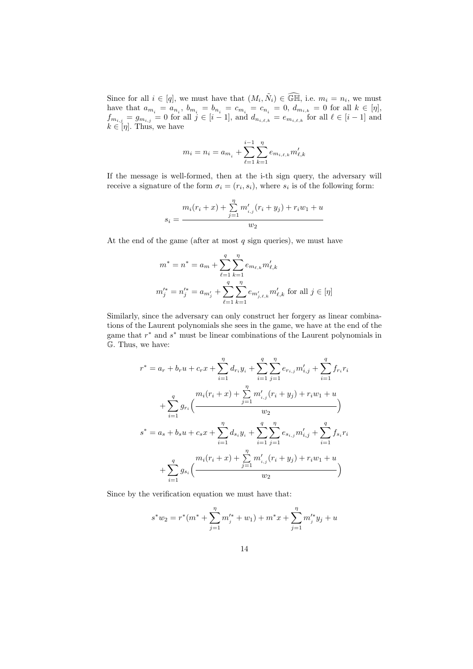Since for all  $i \in [q]$ , we must have that  $(M_i, \tilde{N}_i) \in \widehat{\mathbb{GH}}$ , i.e.  $m_i = n_i$ , we must have that  $a_{m_i} = a_{n_i}$ ,  $b_{m_i} = b_{n_i} = c_{m_i} = c_{n_i} = 0$ ,  $d_{m_{i,k}} = 0$  for all  $k \in [\eta]$ ,  $f_{m_{i,j}} = g_{m_{i,j}} = 0$  for all  $j \in [i-1]$ , and  $d_{n_{i,\ell,k}} = e_{m_{i,\ell,k}}$  for all  $\ell \in [i-1]$  and  $k \in [\eta]$ . Thus, we have

$$
m_i = n_i = a_{m_i} + \sum_{\ell=1}^{i-1} \sum_{k=1}^{\eta} e_{m_{i,\ell,k}} m'_{\ell,k}
$$

If the message is well-formed, then at the i-th sign query, the adversary will receive a signature of the form  $\sigma_i = (r_i, s_i)$ , where  $s_i$  is of the following form:

$$
s_i = \frac{m_i(r_i + x) + \sum_{j=1}^{n} m'_{i,j}(r_i + y_j) + r_i w_1 + u}{w_2}
$$

At the end of the game (after at most  $q$  sign queries), we must have

$$
m^* = n^* = a_m + \sum_{\ell=1}^q \sum_{k=1}^{\eta} e_{m_{\ell,k}} m'_{\ell,k}
$$

$$
m'^*_j = n'^*_j = a_{m'_j} + \sum_{\ell=1}^q \sum_{k=1}^{\eta} e_{m'_{j,\ell,k}} m'_{\ell,k} \text{ for all } j \in [\eta]
$$

Similarly, since the adversary can only construct her forgery as linear combinations of the Laurent polynomials she sees in the game, we have at the end of the game that  $r^*$  and  $s^*$  must be linear combinations of the Laurent polynomials in G. Thus, we have:

$$
r^* = a_r + b_r u + c_r x + \sum_{i=1}^{\eta} d_{r_i} y_i + \sum_{i=1}^{\eta} \sum_{j=1}^{\eta} e_{r_{i,j}} m'_{i,j} + \sum_{i=1}^{\eta} f_{r_i} r_i
$$
  
+ 
$$
\sum_{i=1}^{\eta} g_{r_i} \Big( \frac{m_i (r_i + x) + \sum_{j=1}^{\eta} m'_{i,j} (r_i + y_j) + r_i w_1 + u}{w_2} \Big)
$$
  

$$
s^* = a_s + b_s u + c_s x + \sum_{i=1}^{\eta} d_{s_i} y_i + \sum_{i=1}^{\eta} \sum_{j=1}^{\eta} e_{s_{i,j}} m'_{i,j} + \sum_{i=1}^{\eta} f_{s_i} r_i
$$
  
+ 
$$
\sum_{i=1}^{\eta} g_{s_i} \Big( \frac{m_i (r_i + x) + \sum_{j=1}^{\eta} m'_{i,j} (r_i + y_j) + r_i w_1 + u}{w_2} \Big)
$$

Since by the verification equation we must have that:

$$
s^* w_2 = r^* (m^* + \sum_{j=1}^{\eta} m_j'^* + w_1) + m^* x + \sum_{j=1}^{\eta} m_j'^* y_j + u
$$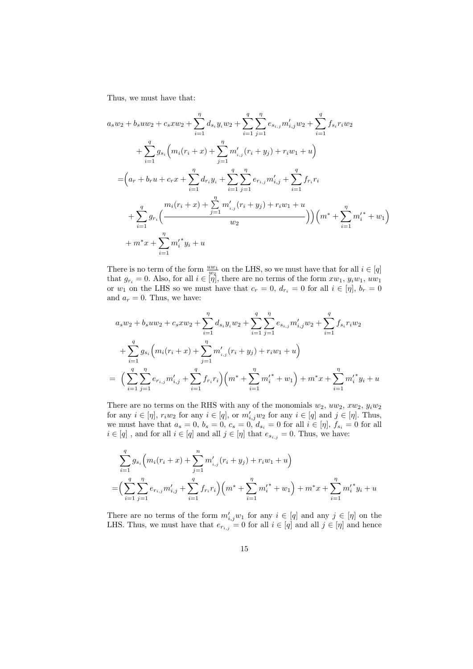Thus, we must have that:

$$
a_s w_2 + b_s u w_2 + c_s x w_2 + \sum_{i=1}^{\eta} d_{s_i} y_i w_2 + \sum_{i=1}^{q} \sum_{j=1}^{\eta} e_{s_{i,j}} m'_{i,j} w_2 + \sum_{i=1}^{q} f_{s_i} r_i w_2
$$
  
+ 
$$
\sum_{i=1}^{q} g_{s_i} \left( m_i (r_i + x) + \sum_{j=1}^{\eta} m'_{i,j} (r_i + y_j) + r_i w_1 + u \right)
$$
  
= 
$$
\left( a_r + b_r u + c_r x + \sum_{i=1}^{\eta} d_{r_i} y_i + \sum_{i=1}^{q} \sum_{j=1}^{\eta} e_{r_{i,j}} m'_{i,j} + \sum_{i=1}^{q} f_{r_i} r_i + \sum_{i=1}^{q} f_{r_i} r_i + \sum_{i=1}^{q} g_{r_i} \left( \frac{m_i (r_i + x) + \sum_{j=1}^{\eta} m'_{i,j} (r_i + y_j) + r_i w_1 + u}{w_2} \right) \right) \left( m^* + \sum_{i=1}^{\eta} m'_i{}^* + w_1 \right)
$$
  
+ 
$$
m^* x + \sum_{i=1}^{\eta} m'_i{}^* y_i + u
$$

There is no term of the form  $\frac{uw_1}{w_2}$  on the LHS, so we must have that for all  $i \in [q]$ that  $g_{r_i} = 0$ . Also, for all  $i \in [\eta]$ , there are no terms of the form  $xw_1, y_iw_1, uw_1$ or  $w_1$  on the LHS so we must have that  $c_r = 0$ ,  $d_{r_i} = 0$  for all  $i \in [\eta]$ ,  $b_r = 0$ and  $a_r = 0$ . Thus, we have:

$$
a_s w_2 + b_s u w_2 + c_s x w_2 + \sum_{i=1}^{\eta} d_{s_i} y_i w_2 + \sum_{i=1}^{q} \sum_{j=1}^{\eta} e_{s_{i,j}} m'_{i,j} w_2 + \sum_{i=1}^{q} f_{s_i} r_i w_2
$$
  
+ 
$$
\sum_{i=1}^{q} g_{s_i} \left( m_i (r_i + x) + \sum_{j=1}^{\eta} m'_{i,j} (r_i + y_j) + r_i w_1 + u \right)
$$
  
= 
$$
\Big( \sum_{i=1}^{q} \sum_{j=1}^{\eta} e_{r_{i,j}} m'_{i,j} + \sum_{i=1}^{q} f_{r_i} r_i \Big) \Big( m^* + \sum_{i=1}^{\eta} m'^*_i + w_1 \Big) + m^* x + \sum_{i=1}^{\eta} m'^*_i y_i + u
$$

There are no terms on the RHS with any of the monomials  $w_2, uw_2, xw_2, y_iw_2$ for any  $i \in [\eta]$ ,  $r_i w_2$  for any  $i \in [q]$ , or  $m'_{i,j} w_2$  for any  $i \in [q]$  and  $j \in [\eta]$ . Thus, we must have that  $a_s = 0$ ,  $b_s = 0$ ,  $c_s = 0$ ,  $d_{s_i} = 0$  for all  $i \in [\eta]$ ,  $f_{s_i} = 0$  for all  $i \in [q]$ , and for all  $i \in [q]$  and all  $j \in [\eta]$  that  $e_{s_{i,j}} = 0$ . Thus, we have:

$$
\sum_{i=1}^{q} g_{s_i} \left( m_i (r_i + x) + \sum_{j=1}^{n} m'_{i,j} (r_i + y_j) + r_i w_1 + u \right)
$$
  
= 
$$
\left( \sum_{i=1}^{q} \sum_{j=1}^{n} e_{r_{i,j}} m'_{i,j} + \sum_{i=1}^{q} f_{r_i} r_i \right) \left( m^* + \sum_{i=1}^{n} m'^*_i + w_1 \right) + m^* x + \sum_{i=1}^{n} m'^*_i y_i + u
$$

There are no terms of the form  $m'_{i,j}w_1$  for any  $i \in [q]$  and any  $j \in [\eta]$  on the LHS. Thus, we must have that  $e_{r_{i,j}} = 0$  for all  $i \in [q]$  and all  $j \in [\eta]$  and hence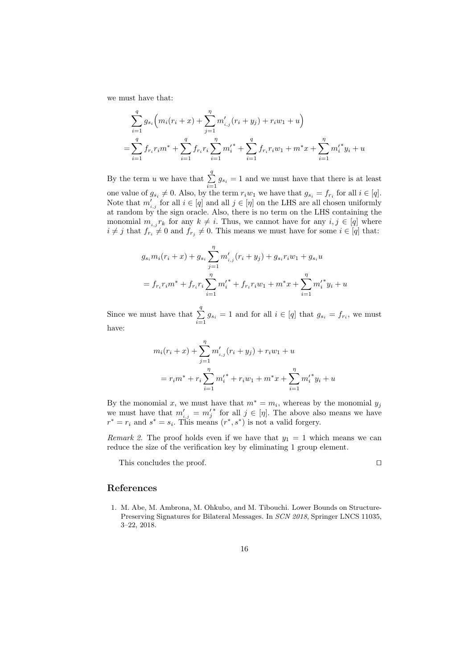we must have that:

$$
\sum_{i=1}^{q} g_{s_i} \left( m_i (r_i + x) + \sum_{j=1}^{n} m'_{i,j} (r_i + y_j) + r_i w_1 + u \right)
$$
  
= 
$$
\sum_{i=1}^{q} f_{r_i} r_i m^* + \sum_{i=1}^{q} f_{r_i} r_i \sum_{i=1}^{n} m'_{i} + \sum_{i=1}^{q} f_{r_i} r_i w_1 + m^* x + \sum_{i=1}^{n} m'_{i} w_i + u
$$

By the term u we have that  $\sum_{n=1}^{q}$  $\sum_{i=1} g_{s_i} = 1$  and we must have that there is at least one value of  $g_{s_i} \neq 0$ . Also, by the term  $r_i w_1$  we have that  $g_{s_i} = f_{r_i}$  for all  $i \in [q]$ . Note that  $m'_{i,j}$  for all  $i \in [q]$  and all  $j \in [\eta]$  on the LHS are all chosen uniformly at random by the sign oracle. Also, there is no term on the LHS containing the monomial  $m_{i,j} r_k$  for any  $k \neq i$ . Thus, we cannot have for any  $i, j \in [q]$  where  $i \neq j$  that  $f_{r_i} \neq 0$  and  $f_{r_j} \neq 0$ . This means we must have for some  $i \in [q]$  that:

$$
g_{s_i}m_i(r_i + x) + g_{s_i} \sum_{j=1}^{\eta} m'_{i,j}(r_i + y_j) + g_{s_i}r_iw_1 + g_{s_i}u
$$
  
=  $f_{r_i}r_im^* + f_{r_i}r_i \sum_{i=1}^{\eta} m'_{i}^* + f_{r_i}r_iw_1 + m^*x + \sum_{i=1}^{\eta} m'_{i}^*y_i + u$ 

Since we must have that  $\sum_{n=1}^{q}$  $\sum_{i=1} g_{s_i} = 1$  and for all  $i \in [q]$  that  $g_{s_i} = f_{r_i}$ , we must have:

$$
m_i(r_i + x) + \sum_{j=1}^{\eta} m'_{i,j}(r_i + y_j) + r_i w_1 + u
$$
  
=  $r_i m^* + r_i \sum_{i=1}^{\eta} m'_i{}^* + r_i w_1 + m^* x + \sum_{i=1}^{\eta} m'_i{}^* y_i + u$ 

By the monomial x, we must have that  $m^* = m_i$ , whereas by the monomial  $y_j$ we must have that  $m'_{i,j} = m'^*_j$  for all  $j \in [\eta]$ . The above also means we have  $r^* = r_i$  and  $s^* = s_i$ . This means  $(r^*, s^*)$  is not a valid forgery.

Remark 2. The proof holds even if we have that  $y_1 = 1$  which means we can reduce the size of the verification key by eliminating 1 group element.

This concludes the proof.  $\Box$ 

# References

1. M. Abe, M. Ambrona, M. Ohkubo, and M. Tibouchi. Lower Bounds on Structure-Preserving Signatures for Bilateral Messages. In SCN 2018, Springer LNCS 11035, 3–22, 2018.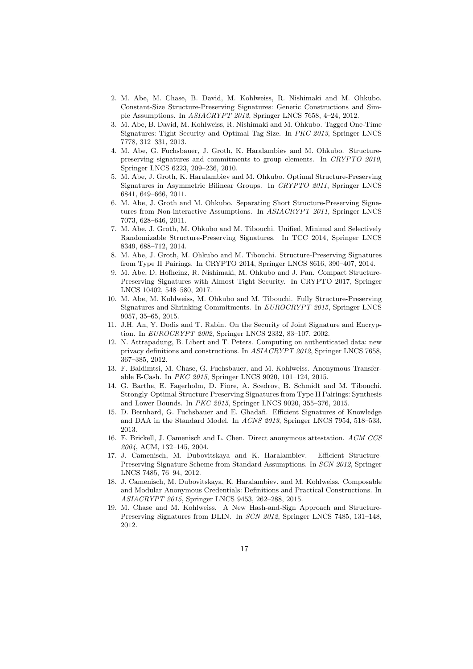- 2. M. Abe, M. Chase, B. David, M. Kohlweiss, R. Nishimaki and M. Ohkubo. Constant-Size Structure-Preserving Signatures: Generic Constructions and Simple Assumptions. In ASIACRYPT 2012, Springer LNCS 7658, 4–24, 2012.
- 3. M. Abe, B. David, M. Kohlweiss, R. Nishimaki and M. Ohkubo. Tagged One-Time Signatures: Tight Security and Optimal Tag Size. In PKC 2013, Springer LNCS 7778, 312–331, 2013.
- 4. M. Abe, G. Fuchsbauer, J. Groth, K. Haralambiev and M. Ohkubo. Structurepreserving signatures and commitments to group elements. In CRYPTO 2010, Springer LNCS 6223, 209–236, 2010.
- 5. M. Abe, J. Groth, K. Haralambiev and M. Ohkubo. Optimal Structure-Preserving Signatures in Asymmetric Bilinear Groups. In CRYPTO 2011, Springer LNCS 6841, 649–666, 2011.
- 6. M. Abe, J. Groth and M. Ohkubo. Separating Short Structure-Preserving Signatures from Non-interactive Assumptions. In ASIACRYPT 2011, Springer LNCS 7073, 628–646, 2011.
- 7. M. Abe, J. Groth, M. Ohkubo and M. Tibouchi. Unified, Minimal and Selectively Randomizable Structure-Preserving Signatures. In TCC 2014, Springer LNCS 8349, 688–712, 2014.
- 8. M. Abe, J. Groth, M. Ohkubo and M. Tibouchi. Structure-Preserving Signatures from Type II Pairings. In CRYPTO 2014, Springer LNCS 8616, 390–407, 2014.
- 9. M. Abe, D. Hofheinz, R. Nishimaki, M. Ohkubo and J. Pan. Compact Structure-Preserving Signatures with Almost Tight Security. In CRYPTO 2017, Springer LNCS 10402, 548–580, 2017.
- 10. M. Abe, M. Kohlweiss, M. Ohkubo and M. Tibouchi. Fully Structure-Preserving Signatures and Shrinking Commitments. In EUROCRYPT 2015, Springer LNCS 9057, 35–65, 2015.
- 11. J.H. An, Y. Dodis and T. Rabin. On the Security of Joint Signature and Encryption. In *EUROCRYPT 2002*, Springer LNCS 2332, 83-107, 2002.
- 12. N. Attrapadung, B. Libert and T. Peters. Computing on authenticated data: new privacy definitions and constructions. In ASIACRYPT 2012, Springer LNCS 7658, 367–385, 2012.
- 13. F. Baldimtsi, M. Chase, G. Fuchsbauer, and M. Kohlweiss. Anonymous Transferable E-Cash. In PKC 2015, Springer LNCS 9020, 101–124, 2015.
- 14. G. Barthe, E. Fagerholm, D. Fiore, A. Scedrov, B. Schmidt and M. Tibouchi. Strongly-Optimal Structure Preserving Signatures from Type II Pairings: Synthesis and Lower Bounds. In PKC 2015, Springer LNCS 9020, 355–376, 2015.
- 15. D. Bernhard, G. Fuchsbauer and E. Ghadafi. Efficient Signatures of Knowledge and DAA in the Standard Model. In ACNS 2013, Springer LNCS 7954, 518–533, 2013.
- 16. E. Brickell, J. Camenisch and L. Chen. Direct anonymous attestation. ACM CCS 2004, ACM, 132–145, 2004.
- 17. J. Camenisch, M. Dubovitskaya and K. Haralambiev. Efficient Structure-Preserving Signature Scheme from Standard Assumptions. In SCN 2012, Springer LNCS 7485, 76–94, 2012.
- 18. J. Camenisch, M. Dubovitskaya, K. Haralambiev, and M. Kohlweiss. Composable and Modular Anonymous Credentials: Definitions and Practical Constructions. In ASIACRYPT 2015, Springer LNCS 9453, 262–288, 2015.
- 19. M. Chase and M. Kohlweiss. A New Hash-and-Sign Approach and Structure-Preserving Signatures from DLIN. In SCN 2012, Springer LNCS 7485, 131–148, 2012.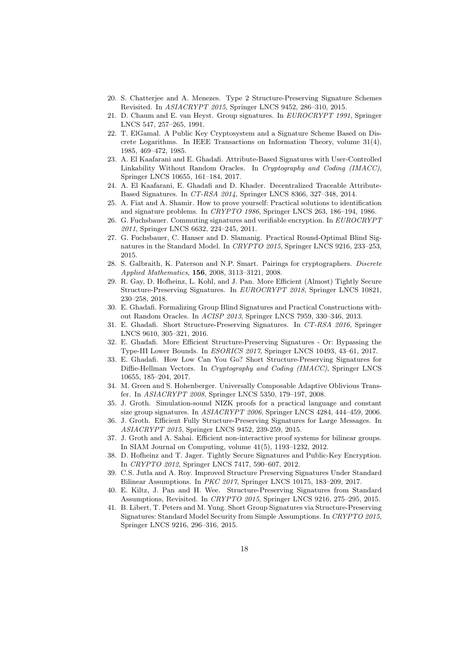- 20. S. Chatterjee and A. Menezes. Type 2 Structure-Preserving Signature Schemes Revisited. In ASIACRYPT 2015, Springer LNCS 9452, 286–310, 2015.
- 21. D. Chaum and E. van Heyst. Group signatures. In EUROCRYPT 1991, Springer LNCS 547, 257–265, 1991.
- 22. T. ElGamal. A Public Key Cryptosystem and a Signature Scheme Based on Discrete Logarithms. In IEEE Transactions on Information Theory, volume 31(4), 1985, 469–472, 1985.
- 23. A. El Kaafarani and E. Ghadafi. Attribute-Based Signatures with User-Controlled Linkability Without Random Oracles. In Cryptography and Coding (IMACC), Springer LNCS 10655, 161–184, 2017.
- 24. A. El Kaafarani, E. Ghadafi and D. Khader. Decentralized Traceable Attribute-Based Signatures. In CT-RSA 2014, Springer LNCS 8366, 327–348, 2014.
- 25. A. Fiat and A. Shamir. How to prove yourself: Practical solutions to identification and signature problems. In CRYPTO 1986, Springer LNCS 263, 186–194, 1986.
- 26. G. Fuchsbauer. Commuting signatures and verifiable encryption. In EUROCRYPT 2011, Springer LNCS 6632, 224–245, 2011.
- 27. G. Fuchsbauer, C. Hanser and D. Slamanig. Practical Round-Optimal Blind Signatures in the Standard Model. In CRYPTO 2015, Springer LNCS 9216, 233–253, 2015.
- 28. S. Galbraith, K. Paterson and N.P. Smart. Pairings for cryptographers. Discrete Applied Mathematics, 156, 2008, 3113–3121, 2008.
- 29. R. Gay, D. Hofheinz, L. Kohl, and J. Pan. More Efficient (Almost) Tightly Secure Structure-Preserving Signatures. In EUROCRYPT 2018, Springer LNCS 10821, 230–258, 2018.
- 30. E. Ghadafi. Formalizing Group Blind Signatures and Practical Constructions without Random Oracles. In ACISP 2013, Springer LNCS 7959, 330–346, 2013.
- 31. E. Ghadafi. Short Structure-Preserving Signatures. In CT-RSA 2016, Springer LNCS 9610, 305–321, 2016.
- 32. E. Ghadafi. More Efficient Structure-Preserving Signatures Or: Bypassing the Type-III Lower Bounds. In ESORICS 2017, Springer LNCS 10493, 43–61, 2017.
- 33. E. Ghadafi. How Low Can You Go? Short Structure-Preserving Signatures for Diffie-Hellman Vectors. In Cryptography and Coding (IMACC), Springer LNCS 10655, 185–204, 2017.
- 34. M. Green and S. Hohenberger. Universally Composable Adaptive Oblivious Transfer. In ASIACRYPT 2008, Springer LNCS 5350, 179–197, 2008.
- 35. J. Groth. Simulation-sound NIZK proofs for a practical language and constant size group signatures. In ASIACRYPT 2006, Springer LNCS 4284, 444–459, 2006.
- 36. J. Groth. Efficient Fully Structure-Preserving Signatures for Large Messages. In ASIACRYPT 2015, Springer LNCS 9452, 239-259, 2015.
- 37. J. Groth and A. Sahai. Efficient non-interactive proof systems for bilinear groups. In SIAM Journal on Computing, volume 41(5), 1193–1232, 2012.
- 38. D. Hofheinz and T. Jager. Tightly Secure Signatures and Public-Key Encryption. In CRYPTO 2012, Springer LNCS 7417, 590–607, 2012.
- 39. C.S. Jutla and A. Roy. Improved Structure Preserving Signatures Under Standard Bilinear Assumptions. In PKC 2017, Springer LNCS 10175, 183–209, 2017.
- 40. E. Kiltz, J. Pan and H. Wee. Structure-Preserving Signatures from Standard Assumptions, Revisited. In CRYPTO 2015, Springer LNCS 9216, 275–295, 2015.
- 41. B. Libert, T. Peters and M. Yung. Short Group Signatures via Structure-Preserving Signatures: Standard Model Security from Simple Assumptions. In CRYPTO 2015, Springer LNCS 9216, 296–316, 2015.